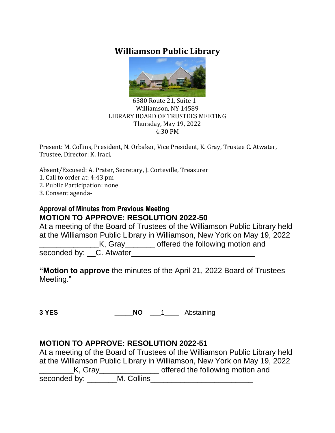# **Williamson Public Library**



#### 6380 Route 21, Suite 1 Williamson, NY 14589 LIBRARY BOARD OF TRUSTEES MEETING Thursday, May 19, 2022 4:30 PM

Present: M. Collins, President, N. Orbaker, Vice President, K. Gray, Trustee C. Atwater, Trustee, Director: K. Iraci,

Absent/Excused: A. Prater, Secretary, J. Corteville, Treasurer

- 1. Call to order at: 4:43 pm
- 2. Public Participation: none
- 3. Consent agenda-

#### **Approval of Minutes from Previous Meeting MOTION TO APPROVE: RESOLUTION 2022-50**

At a meeting of the Board of Trustees of the Williamson Public Library held at the Williamson Public Library in Williamson, New York on May 19, 2022 **EXALLE ASSESSMENT ASSESSMED ASSESSMENT AT A LITE ASSESSMENT AND READ FIGURER** seconded by: C. Atwater

**"Motion to approve** the minutes of the April 21, 2022 Board of Trustees Meeting."

**3 YES \_\_\_\_\_NO** \_\_\_1\_\_\_\_ Abstaining

#### **MOTION TO APPROVE: RESOLUTION 2022-51**

At a meeting of the Board of Trustees of the Williamson Public Library held at the Williamson Public Library in Williamson, New York on May 19, 2022 K, Gray\_\_\_\_\_\_\_\_\_\_\_\_\_\_\_\_\_ offered the following motion and seconded by: The M. Collins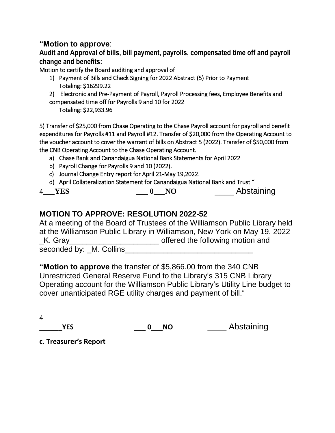#### **"Motion to approve**:

**Audit and Approval of bills, bill payment, payrolls, compensated time off and payroll change and benefits:**

Motion to certify the Board auditing and approval of

- 1) Payment of Bills and Check Signing for 2022 Abstract (5) Prior to Payment Totaling: \$16299.22
- 2) Electronic and Pre-Payment of Payroll, Payroll Processing fees, Employee Benefits and compensated time off for Payrolls 9 and 10 for 2022

Totaling: \$22,933.96

5) Transfer of \$25,000 from Chase Operating to the Chase Payroll account for payroll and benefit expenditures for Payrolls #11 and Payroll #12. Transfer of \$20,000 from the Operating Account to the voucher account to cover the warrant of bills on Abstract 5 (2022). Transfer of \$50,000 from the CNB Operating Account to the Chase Operating Account.

- a) Chase Bank and Canandaigua National Bank Statements for April 2022
- b) Payroll Change for Payrolls 9 and 10 (2022).
- c) Journal Change Entry report for April 21-May 19,2022.
- d) April Collateralization Statement for Canandaigua National Bank and Trust "

| <b>YES</b><br>4 |  | Abstaining |
|-----------------|--|------------|
|-----------------|--|------------|

# **MOTION TO APPROVE: RESOLUTION 2022-52**

At a meeting of the Board of Trustees of the Williamson Public Library held at the Williamson Public Library in Williamson, New York on May 19, 2022 K. Gray **EXALL CONSUMERS** CHARGE STATES **K** Gray seconded by: M. Collins

**"Motion to approve** the transfer of \$5,866.00 from the 340 CNB Unrestricted General Reserve Fund to the Library's 315 CNB Library Operating account for the Williamson Public Library's Utility Line budget to cover unanticipated RGE utility charges and payment of bill."

4

**YES 0 NO** Abstaining

**c. Treasurer's Report**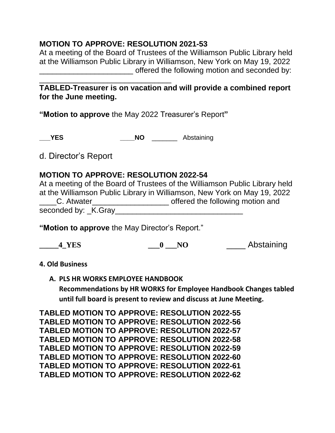### **MOTION TO APPROVE: RESOLUTION 2021-53**

At a meeting of the Board of Trustees of the Williamson Public Library held at the Williamson Public Library in Williamson, New York on May 19, 2022 offered the following motion and seconded by:

#### \_\_\_\_\_\_\_\_\_\_\_\_\_\_\_\_\_\_\_\_\_\_\_\_\_\_\_\_\_\_\_ **TABLED-Treasurer is on vacation and will provide a combined report for the June meeting.**

**"Motion to approve** the May 2022 Treasurer's Report**"**

**\_\_\_YES \_\_\_\_NO** \_\_\_\_\_\_\_ Abstaining

d. Director's Report

### **MOTION TO APPROVE: RESOLUTION 2022-54**

At a meeting of the Board of Trustees of the Williamson Public Library held at the Williamson Public Library in Williamson, New York on May 19, 2022 \_\_\_\_C. Atwater\_\_\_\_\_\_\_\_\_\_\_\_\_\_\_\_\_\_ offered the following motion and seconded by: K.Gray

**"Motion to approve** the May Director's Report."

| 4 YES | 0 | Abstaining |
|-------|---|------------|
|-------|---|------------|

#### **4. Old Business**

**A. PLS HR WORKS EMPLOYEE HANDBOOK**

**Recommendations by HR WORKS for Employee Handbook Changes tabled until full board is present to review and discuss at June Meeting.**

**TABLED MOTION TO APPROVE: RESOLUTION 2022-55 TABLED MOTION TO APPROVE: RESOLUTION 2022-56 TABLED MOTION TO APPROVE: RESOLUTION 2022-57 TABLED MOTION TO APPROVE: RESOLUTION 2022-58 TABLED MOTION TO APPROVE: RESOLUTION 2022-59 TABLED MOTION TO APPROVE: RESOLUTION 2022-60 TABLED MOTION TO APPROVE: RESOLUTION 2022-61 TABLED MOTION TO APPROVE: RESOLUTION 2022-62**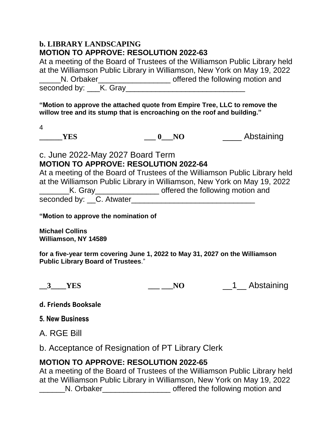#### **b. LIBRARY LANDSCAPING MOTION TO APPROVE: RESOLUTION 2022-63**

| At a meeting of the Board of Trustees of the Williamson Public Library held |                                  |  |  |
|-----------------------------------------------------------------------------|----------------------------------|--|--|
| at the Williamson Public Library in Williamson, New York on May 19, 2022    |                                  |  |  |
| N. Orbaker                                                                  | offered the following motion and |  |  |
| seconded by: K. Gray                                                        |                                  |  |  |

**"Motion to approve the attached quote from Empire Tree, LLC to remove the willow tree and its stump that is encroaching on the roof and building."**

4

**\_\_\_\_\_\_YES \_\_\_ 0\_\_\_NO** \_\_\_\_ Abstaining

## c. June 2022-May 2027 Board Term **MOTION TO APPROVE: RESOLUTION 2022-64**

At a meeting of the Board of Trustees of the Williamson Public Library held at the Williamson Public Library in Williamson, New York on May 19, 2022 LK. Gray\_\_\_\_\_\_\_\_\_\_\_\_\_\_\_\_\_\_\_ offered the following motion and

seconded by: C. Atwater

**"Motion to approve the nomination of**

**Michael Collins Williamson, NY 14589**

**for a five-year term covering June 1, 2022 to May 31, 2027 on the Williamson Public Library Board of Trustees**."

**\_\_3\_\_\_\_YES \_\_\_ \_\_\_NO** \_\_1\_\_ Abstaining

**d. Friends Booksale**

**5. New Business**

A. RGE Bill

b. Acceptance of Resignation of PT Library Clerk

## **MOTION TO APPROVE: RESOLUTION 2022-65**

At a meeting of the Board of Trustees of the Williamson Public Library held at the Williamson Public Library in Williamson, New York on May 19, 2022 \_\_\_\_\_\_N. Orbaker\_\_\_\_\_\_\_\_\_\_\_\_\_\_\_\_ offered the following motion and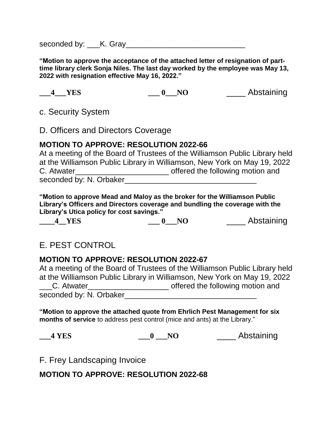seconded by: \_\_\_\_K. Gray

**"Motion to approve the acceptance of the attached letter of resignation of parttime library clerk Sonja Niles. The last day worked by the employee was May 13, 2022 with resignation effective May 16, 2022."** 

**\_\_\_4\_\_\_YES \_\_\_ 0\_\_\_NO** \_\_\_\_ Abstaining

c. Security System

D. Officers and Directors Coverage

## **MOTION TO APPROVE: RESOLUTION 2022-66**

At a meeting of the Board of Trustees of the Williamson Public Library held at the Williamson Public Library in Williamson, New York on May 19, 2022 C. Atwater\_\_\_\_\_\_\_\_\_\_\_\_\_\_\_\_\_\_\_\_\_\_\_\_\_\_\_\_\_\_\_\_\_\_ offered the following motion and seconded by: N. Orbaker

**"Motion to approve Mead and Maloy as the broker for the Williamson Public Library's Officers and Directors coverage and bundling the coverage with the Library's Utica policy for cost savings."**

**\_\_\_\_4\_\_YES \_\_\_ 0\_\_\_NO** \_\_\_\_ Abstaining

# E. PEST CONTROL

## **MOTION TO APPROVE: RESOLUTION 2022-67**

At a meeting of the Board of Trustees of the Williamson Public Library held at the Williamson Public Library in Williamson, New York on May 19, 2022 \_\_\_C. Atwater\_\_\_\_\_\_\_\_\_\_\_\_\_\_\_\_\_\_\_ offered the following motion and seconded by: N. Orbaker\_\_\_\_\_\_\_\_\_\_\_\_\_\_\_\_\_\_\_\_\_\_\_\_\_\_\_\_\_\_\_

**"Motion to approve the attached quote from Ehrlich Pest Management for six months of service** to address pest control (mice and ants) at the Library."

**\_\_\_4 YES \_\_\_0 \_\_\_NO** \_\_\_\_ Abstaining

F. Frey Landscaping Invoice

**MOTION TO APPROVE: RESOLUTION 2022-68**